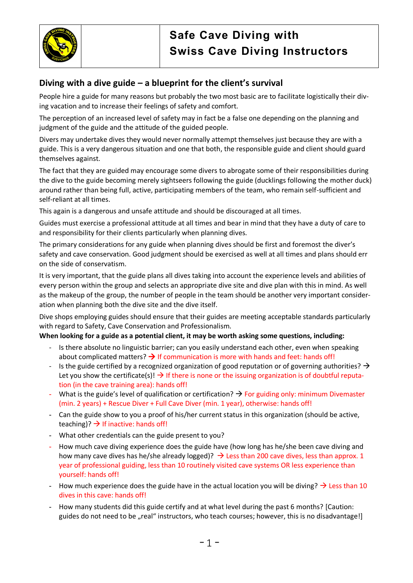

## **Diving with a dive guide – a blueprint for the client's survival**

People hire a guide for many reasons but probably the two most basic are to facilitate logistically their diving vacation and to increase their feelings of safety and comfort.

The perception of an increased level of safety may in fact be a false one depending on the planning and judgment of the guide and the attitude of the guided people.

Divers may undertake dives they would never normally attempt themselves just because they are with a guide. This is a very dangerous situation and one that both, the responsible guide and client should guard themselves against.

The fact that they are guided may encourage some divers to abrogate some of their responsibilities during the dive to the guide becoming merely sightseers following the guide (ducklings following the mother duck) around rather than being full, active, participating members of the team, who remain self-sufficient and self-reliant at all times.

This again is a dangerous and unsafe attitude and should be discouraged at all times.

Guides must exercise a professional attitude at all times and bear in mind that they have a duty of care to and responsibility for their clients particularly when planning dives.

The primary considerations for any guide when planning dives should be first and foremost the diver's safety and cave conservation. Good judgment should be exercised as well at all times and plans should err on the side of conservatism.

It is very important, that the guide plans all dives taking into account the experience levels and abilities of every person within the group and selects an appropriate dive site and dive plan with this in mind. As well as the makeup of the group, the number of people in the team should be another very important consideration when planning both the dive site and the dive itself.

Dive shops employing guides should ensure that their guides are meeting acceptable standards particularly with regard to Safety, Cave Conservation and Professionalism.

## **When looking for a guide as a potential client, it may be worth asking some questions, including:**

- Is there absolute no linguistic barrier; can you easily understand each other, even when speaking about complicated matters?  $\rightarrow$  If communication is more with hands and feet: hands off!
- Is the guide certified by a recognized organization of good reputation or of governing authorities?  $\rightarrow$ Let you show the certificate(s)!  $\rightarrow$  If there is none or the issuing organization is of doubtful reputation (in the cave training area): hands off!
- What is the guide's level of qualification or certification?  $\rightarrow$  For guiding only: minimum Divemaster (min. 2 years) + Rescue Diver + Full Cave Diver (min. 1 year), otherwise: hands off!
- Can the guide show to you a proof of his/her current status in this organization (should be active, teaching)?  $\rightarrow$  If inactive: hands off!
- What other credentials can the guide present to you?
- How much cave diving experience does the guide have (how long has he/she been cave diving and how many cave dives has he/she already logged)?  $\rightarrow$  Less than 200 cave dives, less than approx. 1 year of professional guiding, less than 10 routinely visited cave systems OR less experience than yourself: hands off!
- How much experience does the guide have in the actual location you will be diving?  $\rightarrow$  Less than 10 dives in this cave: hands off!
- How many students did this guide certify and at what level during the past 6 months? [Caution: guides do not need to be "real" instructors, who teach courses; however, this is no disadvantage!]